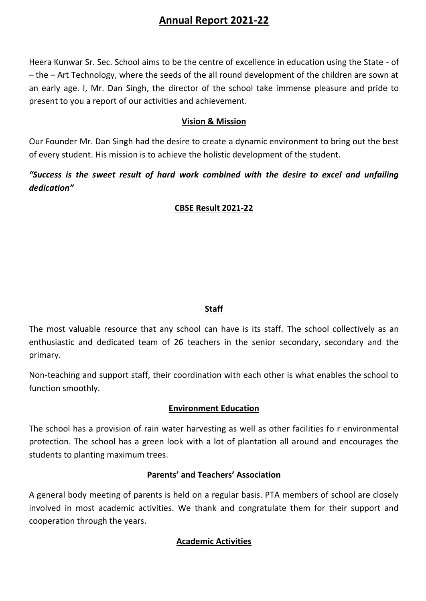# **Annual Report 2021-22**

Heera Kunwar Sr. Sec. School aims to be the centre of excellence in education using the State - of – the – Art Technology, where the seeds of the all round development of the children are sown at an early age. I, Mr. Dan Singh, the director of the school take immense pleasure and pride to present to you a report of our activities and achievement.

### **Vision & Mission**

Our Founder Mr. Dan Singh had the desire to create a dynamic environment to bring out the best of every student. His mission is to achieve the holistic development of the student.

## *"Success is the sweet result of hard work combined with the desire to excel and unfailing dedication"*

### **CBSE Result 2021-22**

### **Staff**

The most valuable resource that any school can have is its staff. The school collectively as an enthusiastic and dedicated team of 26 teachers in the senior secondary, secondary and the primary.

Non-teaching and support staff, their coordination with each other is what enables the school to function smoothly.

### **Environment Education**

The school has a provision of rain water harvesting as well as other facilities fo r environmental protection. The school has a green look with a lot of plantation all around and encourages the students to planting maximum trees.

### **Parents' and Teachers' Association**

A general body meeting of parents is held on a regular basis. PTA members of school are closely involved in most academic activities. We thank and congratulate them for their support and cooperation through the years.

### **Academic Activities**